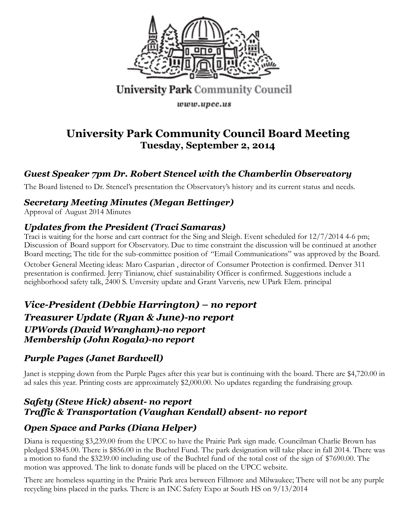

# University Park Community Council

www.upcc.us

# **University Park Community Council Board Meeting Tuesday, September 2, 2014**

# *Guest Speaker 7pm Dr. Robert Stencel with the Chamberlin Observatory*

The Board listened to Dr. Stencel's presentation the Observatory's history and its current status and needs.

### *Secretary Meeting Minutes (Megan Bettinger)*

Approval of August 2014 Minutes

#### *Updates from the President (Traci Samaras)*

Traci is waiting for the horse and cart contract for the Sing and Sleigh. Event scheduled for 12/7/2014 4-6 pm; Discussion of Board support for Observatory. Due to time constraint the discussion will be continued at another Board meeting; The title for the sub-committee position of "Email Communications" was approved by the Board. October General Meeting ideas: Maro Casparian , director of Consumer Protection is confirmed. Denver 311 presentation is confirmed. Jerry Tinianow, chief sustainability Officer is confirmed. Suggestions include a neighborhood safety talk, 2400 S. Unversity update and Grant Varveris, new UPark Elem. principal

### *Vice-President (Debbie Harrington) – no report Treasurer Update (Ryan & June)-no report UPWords (David Wrangham)-no report Membership (John Rogala)-no report*

### *Purple Pages (Janet Bardwell)*

Janet is stepping down from the Purple Pages after this year but is continuing with the board. There are \$4,720.00 in ad sales this year. Printing costs are approximately \$2,000.00. No updates regarding the fundraising group.

#### *Safety (Steve Hick) absent- no report Traffic & Transportation (Vaughan Kendall) absent- no report*

### *Open Space and Parks (Diana Helper)*

Diana is requesting \$3,239.00 from the UPCC to have the Prairie Park sign made. Councilman Charlie Brown has pledged \$3845.00. There is \$856.00 in the Buchtel Fund. The park designation will take place in fall 2014. There was a motion to fund the \$3239.00 including use of the Buchtel fund of the total cost of the sign of \$7690.00. The motion was approved. The link to donate funds will be placed on the UPCC website.

There are homeless squatting in the Prairie Park area between Fillmore and Milwaukee; There will not be any purple recycling bins placed in the parks. There is an INC Safety Expo at South HS on 9/13/2014